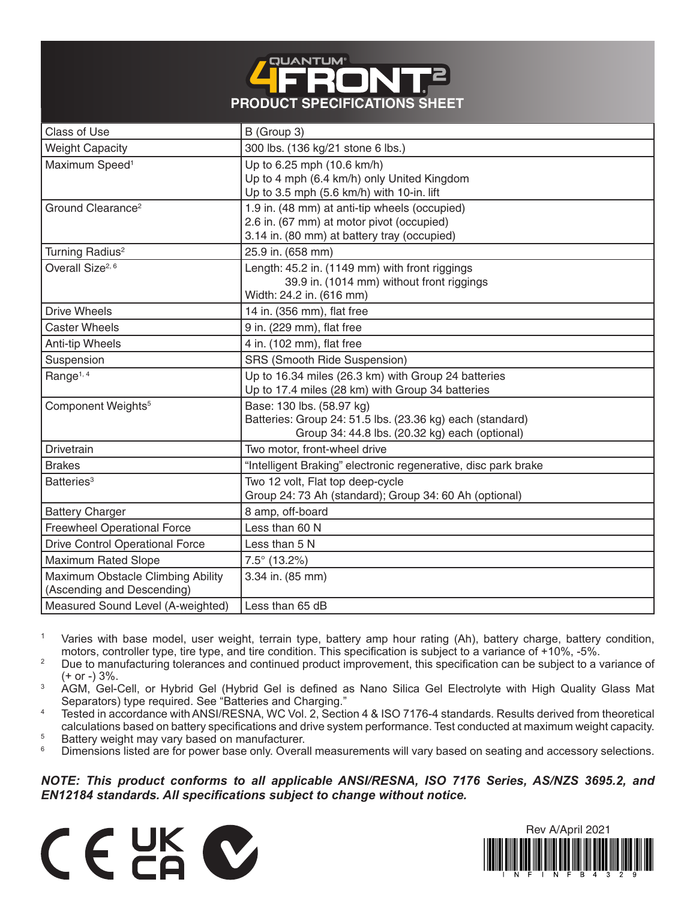

| <b>Class of Use</b>                                             | B (Group 3)                                                                                                                               |
|-----------------------------------------------------------------|-------------------------------------------------------------------------------------------------------------------------------------------|
| <b>Weight Capacity</b>                                          | 300 lbs. (136 kg/21 stone 6 lbs.)                                                                                                         |
| Maximum Speed <sup>1</sup>                                      | Up to 6.25 mph (10.6 km/h)<br>Up to 4 mph (6.4 km/h) only United Kingdom<br>Up to 3.5 mph (5.6 km/h) with 10-in. lift                     |
| Ground Clearance <sup>2</sup>                                   | 1.9 in. (48 mm) at anti-tip wheels (occupied)<br>2.6 in. (67 mm) at motor pivot (occupied)<br>3.14 in. (80 mm) at battery tray (occupied) |
| Turning Radius <sup>2</sup>                                     | 25.9 in. (658 mm)                                                                                                                         |
| Overall Size <sup>2, 6</sup>                                    | Length: 45.2 in. (1149 mm) with front riggings<br>39.9 in. (1014 mm) without front riggings<br>Width: 24.2 in. (616 mm)                   |
| <b>Drive Wheels</b>                                             | 14 in. (356 mm), flat free                                                                                                                |
| <b>Caster Wheels</b>                                            | 9 in. (229 mm), flat free                                                                                                                 |
| Anti-tip Wheels                                                 | 4 in. (102 mm), flat free                                                                                                                 |
| Suspension                                                      | <b>SRS (Smooth Ride Suspension)</b>                                                                                                       |
| Range <sup>1, 4</sup>                                           | Up to 16.34 miles (26.3 km) with Group 24 batteries<br>Up to 17.4 miles (28 km) with Group 34 batteries                                   |
| Component Weights <sup>5</sup>                                  | Base: 130 lbs. (58.97 kg)<br>Batteries: Group 24: 51.5 lbs. (23.36 kg) each (standard)<br>Group 34: 44.8 lbs. (20.32 kg) each (optional)  |
| Drivetrain                                                      | Two motor, front-wheel drive                                                                                                              |
| <b>Brakes</b>                                                   | "Intelligent Braking" electronic regenerative, disc park brake                                                                            |
| Batteries <sup>3</sup>                                          | Two 12 volt, Flat top deep-cycle<br>Group 24: 73 Ah (standard); Group 34: 60 Ah (optional)                                                |
| <b>Battery Charger</b>                                          | 8 amp, off-board                                                                                                                          |
| <b>Freewheel Operational Force</b>                              | Less than 60 N                                                                                                                            |
| <b>Drive Control Operational Force</b>                          | Less than 5 N                                                                                                                             |
| <b>Maximum Rated Slope</b>                                      | $7.5^{\circ}$ (13.2%)                                                                                                                     |
| Maximum Obstacle Climbing Ability<br>(Ascending and Descending) | 3.34 in. (85 mm)                                                                                                                          |
| Measured Sound Level (A-weighted)                               | Less than 65 dB                                                                                                                           |

<sup>1</sup> Varies with base model, user weight, terrain type, battery amp hour rating (Ah), battery charge, battery condition, motors, controller type, tire type, and tire condition. This specification is subject to a variance of +10%, -5%.

<sup>2</sup> Due to manufacturing tolerances and continued product improvement, this specification can be subject to a variance of (+ or -) 3%.

- <sup>3</sup> AGM, Gel-Cell, or Hybrid Gel (Hybrid Gel is defined as Nano Silica Gel Electrolyte with High Quality Glass Mat Separators) type required. See "Batteries and Charging."
- <sup>4</sup> Tested in accordance with ANSI/RESNA, WC Vol. 2, Section 4 & ISO 7176-4 standards. Results derived from theoretical calculations based on battery specifications and drive system performance. Test conducted at maximum weight capacity.
- <sup>5</sup> Battery weight may vary based on manufacturer.<br><sup>6</sup> Dimensions listed are for nower base only Overa
- Dimensions listed are for power base only. Overall measurements will vary based on seating and accessory selections.

## *NOTE: This product conforms to all applicable ANSI/RESNA, ISO 7176 Series, AS/NZS 3695.2, and EN12184 standards. All specifications subject to change without notice.*